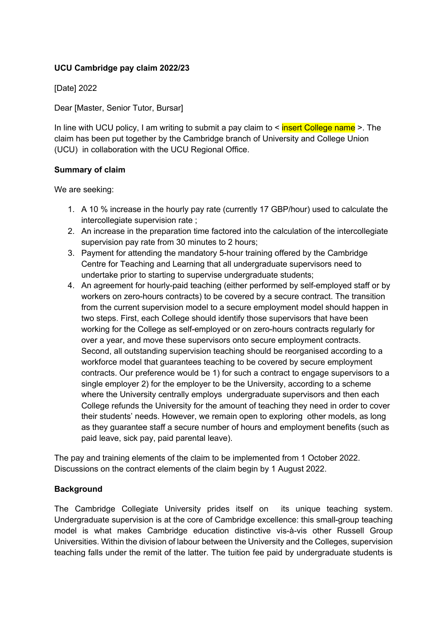## **UCU Cambridge pay claim 2022/23**

[Date] 2022

Dear [Master, Senior Tutor, Bursar]

In line with UCU policy, I am writing to submit a pay claim to  $\leq$  insert College name  $\geq$ . The claim has been put together by the Cambridge branch of University and College Union (UCU) in collaboration with the UCU Regional Office.

#### **Summary of claim**

We are seeking:

- 1. A 10 % increase in the hourly pay rate (currently 17 GBP/hour) used to calculate the intercollegiate supervision rate ;
- 2. An increase in the preparation time factored into the calculation of the intercollegiate supervision pay rate from 30 minutes to 2 hours;
- 3. Payment for attending the mandatory 5-hour training offered by the Cambridge Centre for Teaching and Learning that all undergraduate supervisors need to undertake prior to starting to supervise undergraduate students;
- 4. An agreement for hourly-paid teaching (either performed by self-employed staff or by workers on zero-hours contracts) to be covered by a secure contract. The transition from the current supervision model to a secure employment model should happen in two steps. First, each College should identify those supervisors that have been working for the College as self-employed or on zero-hours contracts regularly for over a year, and move these supervisors onto secure employment contracts. Second, all outstanding supervision teaching should be reorganised according to a workforce model that guarantees teaching to be covered by secure employment contracts. Our preference would be 1) for such a contract to engage supervisors to a single employer 2) for the employer to be the University, according to a scheme where the University centrally employs undergraduate supervisors and then each College refunds the University for the amount of teaching they need in order to cover their students' needs. However, we remain open to exploring other models, as long as they guarantee staff a secure number of hours and employment benefits (such as paid leave, sick pay, paid parental leave).

The pay and training elements of the claim to be implemented from 1 October 2022. Discussions on the contract elements of the claim begin by 1 August 2022.

#### **Background**

The Cambridge Collegiate University prides itself on its unique teaching system. Undergraduate supervision is at the core of Cambridge excellence: this small-group teaching model is what makes Cambridge education distinctive vis-à-vis other Russell Group Universities. Within the division of labour between the University and the Colleges, supervision teaching falls under the remit of the latter. The tuition fee paid by undergraduate students is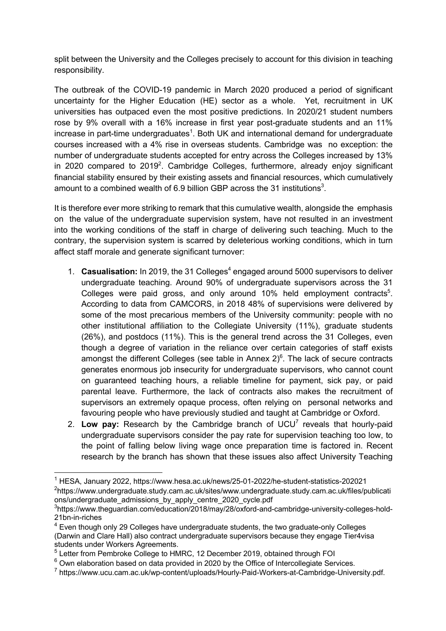split between the University and the Colleges precisely to account for this division in teaching responsibility.

The outbreak of the COVID-19 pandemic in March 2020 produced a period of significant uncertainty for the Higher Education (HE) sector as a whole. Yet, recruitment in UK universities has outpaced even the most positive predictions. In 2020/21 student numbers rose by 9% overall with a 16% increase in first year post-graduate students and an 11% increase in part-time undergraduates<sup>1</sup>. Both UK and international demand for undergraduate courses increased with a 4% rise in overseas students. Cambridge was no exception: the number of undergraduate students accepted for entry across the Colleges increased by 13% in 2020 compared to 2019<sup>2</sup>. Cambridge Colleges, furthermore, already enjoy significant financial stability ensured by their existing assets and financial resources, which cumulatively amount to a combined wealth of 6.9 billion GBP across the 31 institutions<sup>3</sup>.

It is therefore ever more striking to remark that this cumulative wealth, alongside the emphasis on the value of the undergraduate supervision system, have not resulted in an investment into the working conditions of the staff in charge of delivering such teaching. Much to the contrary, the supervision system is scarred by deleterious working conditions, which in turn affect staff morale and generate significant turnover:

- 1. **Casualisation:** In 2019, the 31 Colleges<sup>4</sup> engaged around 5000 supervisors to deliver undergraduate teaching. Around 90% of undergraduate supervisors across the 31 Colleges were paid gross, and only around 10% held employment contracts<sup>5</sup>. According to data from CAMCORS, in 2018 48% of supervisions were delivered by some of the most precarious members of the University community: people with no other institutional affiliation to the Collegiate University (11%), graduate students (26%), and postdocs (11%). This is the general trend across the 31 Colleges, even though a degree of variation in the reliance over certain categories of staff exists amongst the different Colleges (see table in Annex  $2)^6$ . The lack of secure contracts generates enormous job insecurity for undergraduate supervisors, who cannot count on guaranteed teaching hours, a reliable timeline for payment, sick pay, or paid parental leave. Furthermore, the lack of contracts also makes the recruitment of supervisors an extremely opaque process, often relying on personal networks and favouring people who have previously studied and taught at Cambridge or Oxford.
- 2. **Low pay:** Research by the Cambridge branch of UCU7 reveals that hourly-paid undergraduate supervisors consider the pay rate for supervision teaching too low, to the point of falling below living wage once preparation time is factored in. Recent research by the branch has shown that these issues also affect University Teaching

<sup>1</sup> HESA, January 2022, https://www.hesa.ac.uk/news/25-01-2022/he-student-statistics-202021 <sup>2</sup>https://www.undergraduate.study.cam.ac.uk/sites/www.undergraduate.study.cam.ac.uk/files/publicati ons/undergraduate\_admissions\_by\_apply\_centre\_2020\_cycle.pdf

<sup>&</sup>lt;sup>3</sup>https://www.theguardian.com/education/2018/may/28/oxford-and-cambridge-university-colleges-hold-21bn-in-riches

 $4$  Even though only 29 Colleges have undergraduate students, the two graduate-only Colleges (Darwin and Clare Hall) also contract undergraduate supervisors because they engage Tier4visa students under Workers Agreements.

<sup>&</sup>lt;sup>5</sup> Letter from Pembroke College to HMRC, 12 December 2019, obtained through FOI

 $6$  Own elaboration based on data provided in 2020 by the Office of Intercollegiate Services.

<sup>7</sup> https://www.ucu.cam.ac.uk/wp-content/uploads/Hourly-Paid-Workers-at-Cambridge-University.pdf.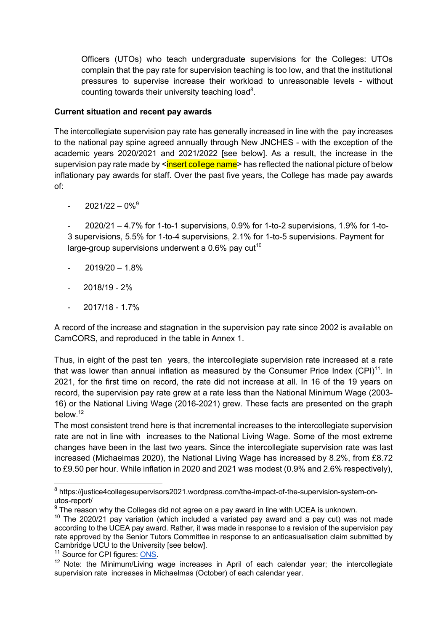Officers (UTOs) who teach undergraduate supervisions for the Colleges: UTOs complain that the pay rate for supervision teaching is too low, and that the institutional pressures to supervise increase their workload to unreasonable levels - without counting towards their university teaching load<sup>8</sup>.

#### **Current situation and recent pay awards**

The intercollegiate supervision pay rate has generally increased in line with the pay increases to the national pay spine agreed annually through New JNCHES - with the exception of the academic years 2020/2021 and 2021/2022 [see below]. As a result, the increase in the supervision pay rate made by <insert college name> has reflected the national picture of below inflationary pay awards for staff. Over the past five years, the College has made pay awards of:

 $- 2021/22 - 0\%$ <sup>9</sup>

 $2020/21 - 4.7%$  for 1-to-1 supervisions,  $0.9%$  for 1-to-2 supervisions, 1.9% for 1-to-3 supervisions, 5.5% for 1-to-4 supervisions, 2.1% for 1-to-5 supervisions. Payment for large-group supervisions underwent a  $0.6\%$  pay cut<sup>10</sup>

- $2019/20 1.8%$
- $2018/19 2%$
- 2017/18 1.7%

A record of the increase and stagnation in the supervision pay rate since 2002 is available on CamCORS, and reproduced in the table in Annex 1.

Thus, in eight of the past ten years, the intercollegiate supervision rate increased at a rate that was lower than annual inflation as measured by the Consumer Price Index  $(CPI)^{11}$ . In 2021, for the first time on record, the rate did not increase at all. In 16 of the 19 years on record, the supervision pay rate grew at a rate less than the National Minimum Wage (2003- 16) or the National Living Wage (2016-2021) grew. These facts are presented on the graph below.12

The most consistent trend here is that incremental increases to the intercollegiate supervision rate are not in line with increases to the National Living Wage. Some of the most extreme changes have been in the last two years. Since the intercollegiate supervision rate was last increased (Michaelmas 2020), the National Living Wage has increased by 8.2%, from £8.72 to £9.50 per hour. While inflation in 2020 and 2021 was modest (0.9% and 2.6% respectively),

<sup>8</sup> https://justice4collegesupervisors2021.wordpress.com/the-impact-of-the-supervision-system-onutos-report/

 $9$  The reason why the Colleges did not agree on a pay award in line with UCEA is unknown.

 $10$  The 2020/21 pay variation (which included a variated pay award and a pay cut) was not made according to the UCEA pay award. Rather, it was made in response to a revision of the supervision pay rate approved by the Senior Tutors Committee in response to an anticasualisation claim submitted by Cambridge UCU to the University [see below].

<sup>&</sup>lt;sup>11</sup> Source for CPI figures: ONS.

<sup>&</sup>lt;sup>12</sup> Note: the Minimum/Living wage increases in April of each calendar year; the intercollegiate supervision rate increases in Michaelmas (October) of each calendar year.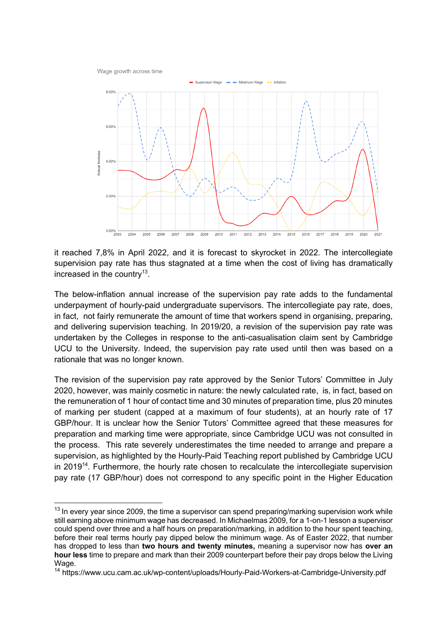Wage growth across time



it reached 7,8% in April 2022, and it is forecast to skyrocket in 2022. The intercollegiate supervision pay rate has thus stagnated at a time when the cost of living has dramatically increased in the country<sup>13</sup>.

The below-inflation annual increase of the supervision pay rate adds to the fundamental underpayment of hourly-paid undergraduate supervisors. The intercollegiate pay rate, does, in fact, not fairly remunerate the amount of time that workers spend in organising, preparing, and delivering supervision teaching. In 2019/20, a revision of the supervision pay rate was undertaken by the Colleges in response to the anti-casualisation claim sent by Cambridge UCU to the University. Indeed, the supervision pay rate used until then was based on a rationale that was no longer known.

The revision of the supervision pay rate approved by the Senior Tutors' Committee in July 2020, however, was mainly cosmetic in nature: the newly calculated rate, is, in fact, based on the remuneration of 1 hour of contact time and 30 minutes of preparation time, plus 20 minutes of marking per student (capped at a maximum of four students), at an hourly rate of 17 GBP/hour. It is unclear how the Senior Tutors' Committee agreed that these measures for preparation and marking time were appropriate, since Cambridge UCU was not consulted in the process. This rate severely underestimates the time needed to arrange and prepare a supervision, as highlighted by the Hourly-Paid Teaching report published by Cambridge UCU in 2019<sup>14</sup>. Furthermore, the hourly rate chosen to recalculate the intercollegiate supervision pay rate (17 GBP/hour) does not correspond to any specific point in the Higher Education

 $13$  In every vear since 2009, the time a supervisor can spend preparing/marking supervision work while still earning above minimum wage has decreased. In Michaelmas 2009, for a 1-on-1 lesson a supervisor could spend over three and a half hours on preparation/marking, in addition to the hour spent teaching, before their real terms hourly pay dipped below the minimum wage. As of Easter 2022, that number has dropped to less than **two hours and twenty minutes,** meaning a supervisor now has **over an hour less** time to prepare and mark than their 2009 counterpart before their pay drops below the Living Wage.

<sup>14</sup> https://www.ucu.cam.ac.uk/wp-content/uploads/Hourly-Paid-Workers-at-Cambridge-University.pdf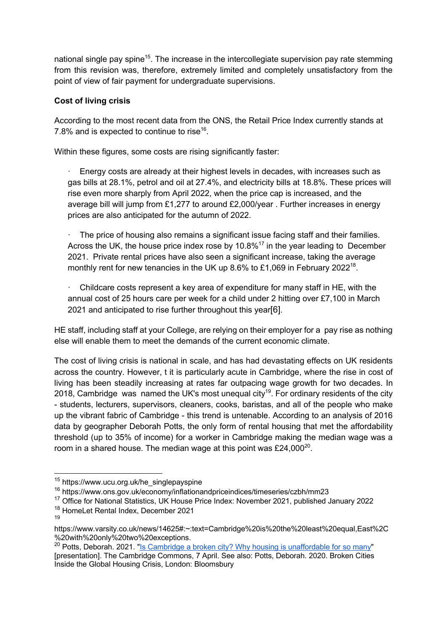national single pay spine<sup>15</sup>. The increase in the intercollegiate supervision pay rate stemming from this revision was, therefore, extremely limited and completely unsatisfactory from the point of view of fair payment for undergraduate supervisions.

## **Cost of living crisis**

According to the most recent data from the ONS, the Retail Price Index currently stands at 7.8% and is expected to continue to rise<sup>16</sup>.

Within these figures, some costs are rising significantly faster:

Energy costs are already at their highest levels in decades, with increases such as gas bills at 28.1%, petrol and oil at 27.4%, and electricity bills at 18.8%. These prices will rise even more sharply from April 2022, when the price cap is increased, and the average bill will jump from £1,277 to around £2,000/year . Further increases in energy prices are also anticipated for the autumn of 2022.

The price of housing also remains a significant issue facing staff and their families. Across the UK, the house price index rose by  $10.8\%$ <sup>17</sup> in the year leading to December 2021. Private rental prices have also seen a significant increase, taking the average monthly rent for new tenancies in the UK up  $8.6\%$  to £1,069 in February 2022<sup>18</sup>.

· Childcare costs represent a key area of expenditure for many staff in HE, with the annual cost of 25 hours care per week for a child under 2 hitting over £7,100 in March 2021 and anticipated to rise further throughout this year[6].

HE staff, including staff at your College, are relying on their employer for a pay rise as nothing else will enable them to meet the demands of the current economic climate.

The cost of living crisis is national in scale, and has had devastating effects on UK residents across the country. However, t it is particularly acute in Cambridge, where the rise in cost of living has been steadily increasing at rates far outpacing wage growth for two decades. In 2018, Cambridge was named the UK's most unequal city<sup>19</sup>. For ordinary residents of the city - students, lecturers, supervisors, cleaners, cooks, baristas, and all of the people who make up the vibrant fabric of Cambridge - this trend is untenable. According to an analysis of 2016 data by geographer Deborah Potts, the only form of rental housing that met the affordability threshold (up to 35% of income) for a worker in Cambridge making the median wage was a room in a shared house. The median wage at this point was  $£24,000^{20}$ .

<sup>&</sup>lt;sup>15</sup> https://www.ucu.org.uk/he\_singlepayspine

<sup>16</sup> https://www.ons.gov.uk/economy/inflationandpriceindices/timeseries/czbh/mm23

<sup>&</sup>lt;sup>17</sup> Office for National Statistics, UK House Price Index: November 2021, published January 2022

<sup>18</sup> HomeLet Rental Index, December 2021 19

https://www.varsity.co.uk/news/14625#:~:text=Cambridge%20is%20the%20least%20equal,East%2C %20with%20only%20two%20exceptions.

<sup>&</sup>lt;sup>20</sup> Potts, Deborah. 2021. "Is Cambridge a broken city? Why housing is unaffordable for so many" [presentation]. The Cambridge Commons, 7 April. See also: Potts, Deborah. 2020. Broken Cities Inside the Global Housing Crisis, London: Bloomsbury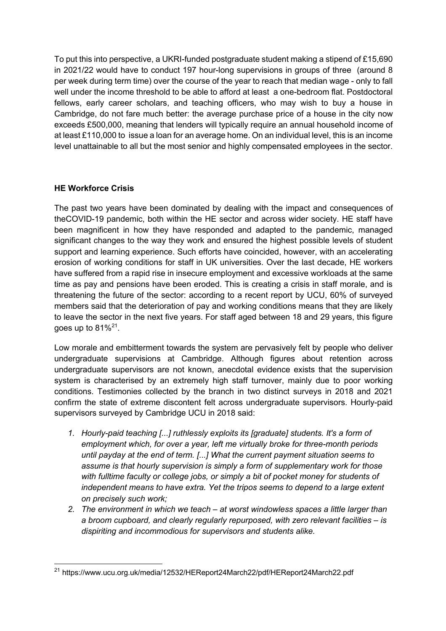To put this into perspective, a UKRI-funded postgraduate student making a stipend of £15,690 in 2021/22 would have to conduct 197 hour-long supervisions in groups of three (around 8 per week during term time) over the course of the year to reach that median wage - only to fall well under the income threshold to be able to afford at least a one-bedroom flat. Postdoctoral fellows, early career scholars, and teaching officers, who may wish to buy a house in Cambridge, do not fare much better: the average purchase price of a house in the city now exceeds £500,000, meaning that lenders will typically require an annual household income of at least £110,000 to issue a loan for an average home. On an individual level, this is an income level unattainable to all but the most senior and highly compensated employees in the sector.

#### **HE Workforce Crisis**

The past two years have been dominated by dealing with the impact and consequences of theCOVID-19 pandemic, both within the HE sector and across wider society. HE staff have been magnificent in how they have responded and adapted to the pandemic, managed significant changes to the way they work and ensured the highest possible levels of student support and learning experience. Such efforts have coincided, however, with an accelerating erosion of working conditions for staff in UK universities. Over the last decade, HE workers have suffered from a rapid rise in insecure employment and excessive workloads at the same time as pay and pensions have been eroded. This is creating a crisis in staff morale, and is threatening the future of the sector: according to a recent report by UCU, 60% of surveyed members said that the deterioration of pay and working conditions means that they are likely to leave the sector in the next five years. For staff aged between 18 and 29 years, this figure goes up to  $81\%^{21}$ .

Low morale and embitterment towards the system are pervasively felt by people who deliver undergraduate supervisions at Cambridge. Although figures about retention across undergraduate supervisors are not known, anecdotal evidence exists that the supervision system is characterised by an extremely high staff turnover, mainly due to poor working conditions. Testimonies collected by the branch in two distinct surveys in 2018 and 2021 confirm the state of extreme discontent felt across undergraduate supervisors. Hourly-paid supervisors surveyed by Cambridge UCU in 2018 said:

- *1. Hourly-paid teaching [...] ruthlessly exploits its [graduate] students. It's a form of employment which, for over a year, left me virtually broke for three-month periods until payday at the end of term. [...] What the current payment situation seems to assume is that hourly supervision is simply a form of supplementary work for those with fulltime faculty or college jobs, or simply a bit of pocket money for students of independent means to have extra. Yet the tripos seems to depend to a large extent on precisely such work;*
- *2. The environment in which we teach – at worst windowless spaces a little larger than a broom cupboard, and clearly regularly repurposed, with zero relevant facilities – is dispiriting and incommodious for supervisors and students alike.*

<sup>21</sup> https://www.ucu.org.uk/media/12532/HEReport24March22/pdf/HEReport24March22.pdf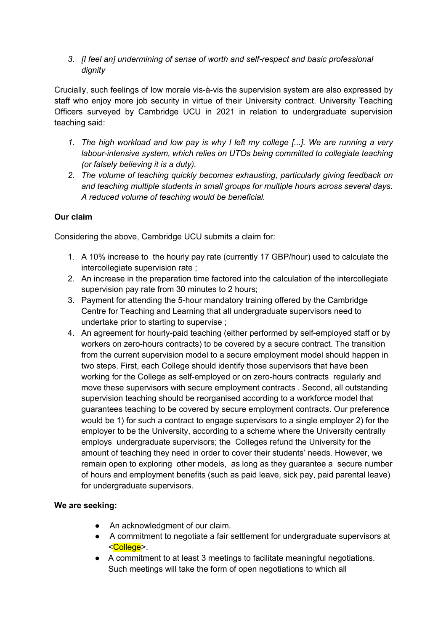*3. [I feel an] undermining of sense of worth and self-respect and basic professional dignity*

Crucially, such feelings of low morale vis-à-vis the supervision system are also expressed by staff who enjoy more job security in virtue of their University contract. University Teaching Officers surveyed by Cambridge UCU in 2021 in relation to undergraduate supervision teaching said:

- *1. The high workload and low pay is why I left my college [...]. We are running a very labour-intensive system, which relies on UTOs being committed to collegiate teaching (or falsely believing it is a duty).*
- *2. The volume of teaching quickly becomes exhausting, particularly giving feedback on and teaching multiple students in small groups for multiple hours across several days. A reduced volume of teaching would be beneficial.*

## **Our claim**

Considering the above, Cambridge UCU submits a claim for:

- 1. A 10% increase to the hourly pay rate (currently 17 GBP/hour) used to calculate the intercollegiate supervision rate ;
- 2. An increase in the preparation time factored into the calculation of the intercollegiate supervision pay rate from 30 minutes to 2 hours;
- 3. Payment for attending the 5-hour mandatory training offered by the Cambridge Centre for Teaching and Learning that all undergraduate supervisors need to undertake prior to starting to supervise ;
- 4. An agreement for hourly-paid teaching (either performed by self-employed staff or by workers on zero-hours contracts) to be covered by a secure contract. The transition from the current supervision model to a secure employment model should happen in two steps. First, each College should identify those supervisors that have been working for the College as self-employed or on zero-hours contracts regularly and move these supervisors with secure employment contracts . Second, all outstanding supervision teaching should be reorganised according to a workforce model that guarantees teaching to be covered by secure employment contracts. Our preference would be 1) for such a contract to engage supervisors to a single employer 2) for the employer to be the University, according to a scheme where the University centrally employs undergraduate supervisors; the Colleges refund the University for the amount of teaching they need in order to cover their students' needs. However, we remain open to exploring other models, as long as they guarantee a secure number of hours and employment benefits (such as paid leave, sick pay, paid parental leave) for undergraduate supervisors.

#### **We are seeking:**

- An acknowledgment of our claim.
- A commitment to negotiate a fair settlement for undergraduate supervisors at <College>.
- A commitment to at least 3 meetings to facilitate meaningful negotiations. Such meetings will take the form of open negotiations to which all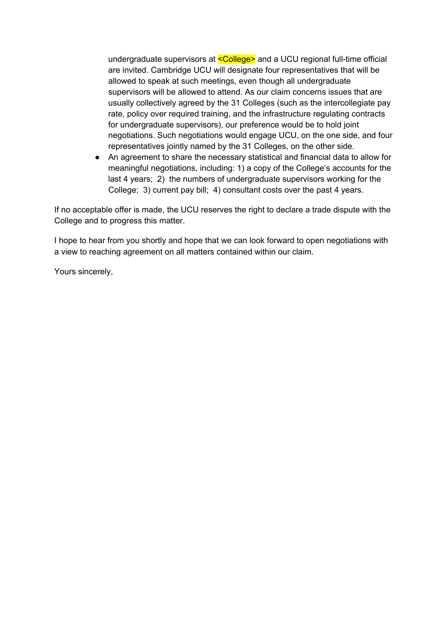undergraduate supervisors at  $\leq$ College> and a UCU regional full-time official are invited. Cambridge UCU will designate four representatives that will be allowed to speak at such meetings, even though all undergraduate supervisors will be allowed to attend. As our claim concerns issues that are usually collectively agreed by the 31 Colleges (such as the intercollegiate pay rate, policy over required training, and the infrastructure regulating contracts for undergraduate supervisors), our preference would be to hold joint negotiations. Such negotiations would engage UCU, on the one side, and four representatives jointly named by the 31 Colleges, on the other side.

● An agreement to share the necessary statistical and financial data to allow for meaningful negotiations, including: 1) a copy of the College's accounts for the last 4 years; 2) the numbers of undergraduate supervisors working for the College; 3) current pay bill; 4) consultant costs over the past 4 years.

If no acceptable offer is made, the UCU reserves the right to declare a trade dispute with the College and to progress this matter.

I hope to hear from you shortly and hope that we can look forward to open negotiations with a view to reaching agreement on all matters contained within our claim.

Yours sincerely,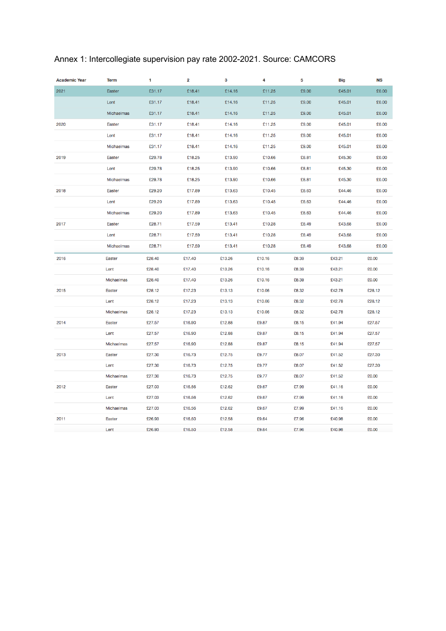# Annex 1: Intercollegiate supervision pay rate 2002-2021. Source: CAMCORS

| <b>Academic Year</b> | <b>Term</b>   | 1      | 2      | 3      | 4      | 5     | <b>Big</b> | <b>NS</b> |
|----------------------|---------------|--------|--------|--------|--------|-------|------------|-----------|
| 2021                 | Easter        | £31.17 | £18.41 | £14.16 | £11.25 | £9.00 | £45.01     | £0.00     |
|                      | Lent          | £31.17 | £18.41 | £14.16 | £11.25 | £9.00 | £45.01     | £0.00     |
|                      | Michaelmas    | £31.17 | £18.41 | £14.16 | £11.25 | £9.00 | £45.01     | £0.00     |
| 2020                 | Easter        | £31.17 | £18.41 | £14.16 | £11.25 | £9.00 | £45.01     | £0.00     |
|                      | Lent          | £31.17 | £18.41 | £14.16 | £11.25 | £9.00 | £45.01     | £0.00     |
|                      | Michaelmas    | £31.17 | £18.41 | £14.16 | £11.25 | £9.00 | £45.01     | £0.00     |
| 2019                 | Easter        | £29.78 | £18.25 | £13.90 | £10.66 | £8.81 | £45.30     | £0.00     |
|                      | Lent          | £29.78 | £18.25 | £13.90 | £10.66 | £8.81 | £45.30     | £0.00     |
|                      | Michaelmas    | £29.78 | £18.25 | £13.90 | £10.66 | £8.81 | £45.30     | £0.00     |
| 2018                 | Easter        | £29.20 | £17.89 | £13.63 | £10.45 | £8.63 | £44.46     | £0.00     |
|                      | Lent          | £29.20 | £17.89 | £13.63 | £10.45 | £8.63 | £44.46     | £0.00     |
|                      | Michaelmas    | £29.20 | £17.89 | £13.63 | £10.45 | £8.63 | £44.46     | £0.00     |
| 2017                 | Easter        | £28.71 | £17.59 | £13.41 | £10.28 | £8.49 | £43.68     | £0.00     |
|                      | Lent          | £28.71 | £17.59 | £13.41 | £10.28 | £8.49 | £43.68     | £0.00     |
|                      | Michaelmas    | £28.71 | £17.59 | £13.41 | £10.28 | £8.49 | £43.68     | £0.00     |
| 2016                 | Easter        | £28.40 | £17.40 | £13.26 | £10.16 | £8.39 | £43.21     | £0.00     |
|                      | Lent          | £28.40 | £17.40 | £13.26 | £10.16 | £8.39 | £43.21     | £0.00     |
|                      | Michaelmas    | £28.40 | £17.40 | £13.26 | £10.16 | £8.39 | £43.21     | £0.00     |
| 2015                 | Easter        | £28.12 | £17.23 | £13.13 | £10.06 | £8.32 | £42.78     | £28.12    |
|                      | Lent          | £28.12 | £17.23 | £13.13 | £10.06 | £8.32 | £42.78     | £28.12    |
|                      | Michaelmas    | £28.12 | £17.23 | £13.13 | £10.06 | £8.32 | £42.78     | £28.12    |
| 2014                 | Easter        | £27.57 | £16.90 | £12.88 | £9.87  | £8.15 | £41.94     | £27.57    |
|                      | Lent          | £27.57 | £16.90 | £12.88 | £9.87  | £8.15 | £41.94     | £27.57    |
|                      | Michaelmas    | £27.57 | £16.90 | £12.88 | £9.87  | £8.15 | £41.94     | £27.57    |
| 2013                 | Easter        | £27.30 | £16.73 | £12.75 | £9.77  | £8.07 | £41.52     | £27.30    |
|                      | Lent          | £27.30 | £16.73 | £12.75 | £9.77  | £8.07 | £41.52     | £27.30    |
|                      | Michaelmas    | £27.30 | £16.73 | £12.75 | £9.77  | £8.07 | £41.52     | £0.00     |
| 2012                 | <b>Easter</b> | £27.03 | £16.56 | £12.62 | £9.67  | £7.99 | £41.16     | £0.00     |
|                      | Lent          | £27.03 | £16.56 | £12.62 | £9.67  | £7.99 | £41.16     | £0.00     |
|                      | Michaelmas    | £27.03 | £16.56 | £12.62 | £9.67  | £7.99 | £41.16     | £0.00     |
| 2011                 | <b>Easter</b> | £26.93 | £16.50 | £12.58 | £9.64  | £7.96 | £40.98     | £0.00     |
|                      | Lent          | £26.93 | £16.50 | £12.58 | £9.64  | £7.96 | £40.98     | £0.00     |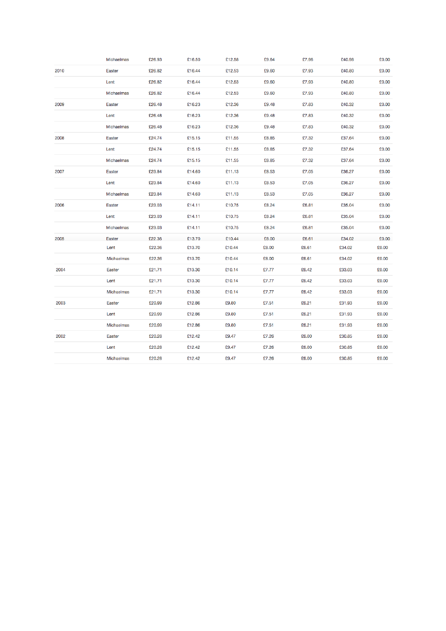|      | Michaelmas    | £26.93 | £16.50 | £12.58 | £9.64 | £7.96 | £40.98 | £0.00 |
|------|---------------|--------|--------|--------|-------|-------|--------|-------|
| 2010 | <b>Easter</b> | £26.82 | £16.44 | £12.53 | £9.60 | £7.93 | £40.80 | £0.00 |
|      | Lent          | £26.82 | £16.44 | £12.53 | £9.60 | £7.93 | £40.80 | £0.00 |
|      | Michaelmas    | £26.82 | £16.44 | £12.53 | £9.60 | £7.93 | £40.80 | £0.00 |
| 2009 | Easter        | £26.48 | £16.23 | £12.36 | £9.48 | £7.83 | £40.32 | £0.00 |
|      | Lent          | £26.48 | £16.23 | £12.36 | £9.48 | £7.83 | £40.32 | £0.00 |
|      | Michaelmas    | £26.48 | £16.23 | £12.36 | £9.48 | £7.83 | £40.32 | £0.00 |
| 2008 | Easter        | £24.74 | £15.15 | £11.55 | £8.85 | £7.32 | £37.64 | £0.00 |
|      | Lent          | £24.74 | £15.15 | £11.55 | £8.85 | £7.32 | £37.64 | £0.00 |
|      | Michaelmas    | £24.74 | £15.15 | £11.55 | £8.85 | £7.32 | £37.64 | £0.00 |
| 2007 | Easter        | £23.84 | £14.60 | £11.13 | £8.53 | £7.05 | £36.27 | £0.00 |
|      | Lent          | £23.84 | £14.60 | £11.13 | £8.53 | £7.05 | £36.27 | £0.00 |
|      | Michaelmas    | £23.84 | £14.60 | £11.13 | £8.53 | £7.05 | £36.27 | £0.00 |
| 2006 | Easter        | £23.03 | £14.11 | £10.75 | £8.24 | £6.81 | £35.04 | £0.00 |
|      | Lent          | £23.03 | £14.11 | £10.75 | £8.24 | £6.81 | £35.04 | £0.00 |
|      | Michaelmas    | £23.03 | £14.11 | £10.75 | £8.24 | £6.81 | £35.04 | £0.00 |
| 2005 | Easter        | £22.36 | £13.70 | £10.44 | £8.00 | £6.61 | £34.02 | £0.00 |
|      | Lent          | £22.36 | £13.70 | £10.44 | £8.00 | £6.61 | £34.02 | £0.00 |
|      | Michaelmas    | £22.36 | £13.70 | £10.44 | £8.00 | £6.61 | £34.02 | £0.00 |
| 2004 | Easter        | £21.71 | £13.30 | £10.14 | £7.77 | £6.42 | £33.03 | £0.00 |
|      | Lent          | £21.71 | £13.30 | £10.14 | £7.77 | £6.42 | £33.03 | £0.00 |
|      | Michaelmas    | £21.71 | £13.30 | £10.14 | £7.77 | £6.42 | £33.03 | £0.00 |
| 2003 | <b>Easter</b> | £20.99 | £12.86 | £9.80  | £7.51 | £6.21 | £31.93 | £0.00 |
|      | Lent          | £20.99 | £12.86 | £9.80  | £7.51 | £6.21 | £31.93 | £0.00 |
|      | Michaelmas    | £20.99 | £12.86 | £9.80  | £7.51 | £6.21 | £31.93 | £0.00 |
| 2002 | Easter        | £20.28 | £12.42 | £9.47  | £7.26 | £6.00 | £30.85 | £0.00 |
|      | Lent          | £20.28 | £12.42 | £9.47  | £7.26 | £6.00 | £30.85 | £0.00 |
|      | Michaelmas    | £20.28 | £12.42 | £9.47  | £7.26 | £6.00 | £30.85 | £0.00 |
|      |               |        |        |        |       |       |        |       |